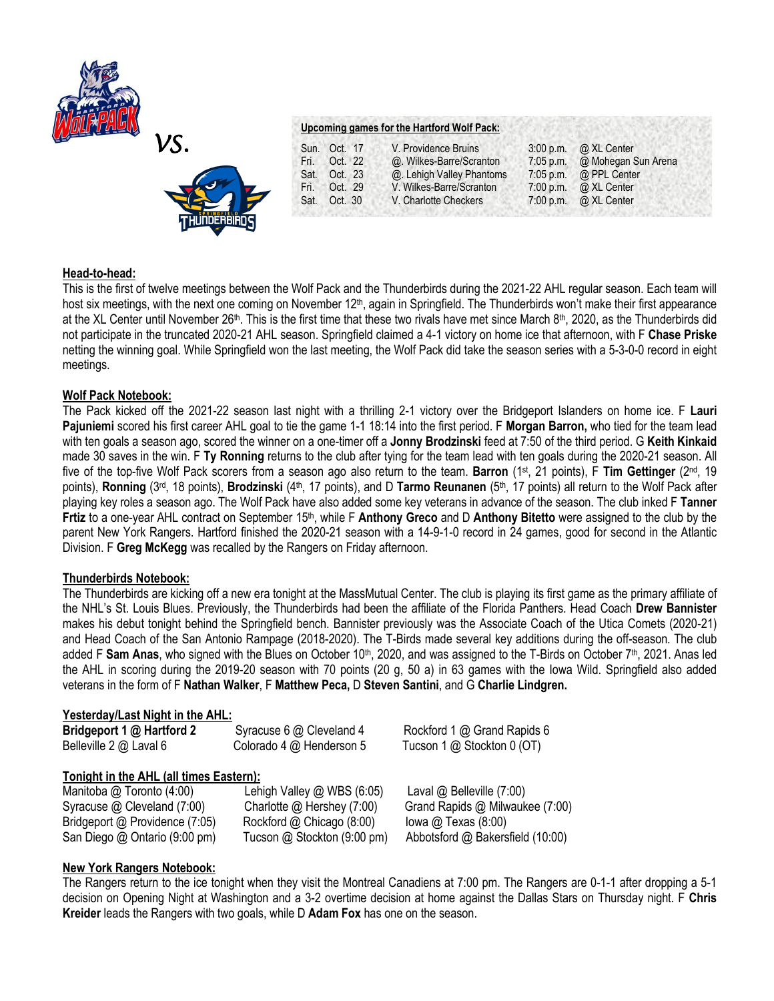



# **Upcoming games for the Hartford Wolf Pack:**

|      | Sun. Oct. 17 | V. Providence Bruins      | $3:00$ p.m. | @ XL Center                  |
|------|--------------|---------------------------|-------------|------------------------------|
|      | Fri. Oct. 22 | @. Wilkes-Barre/Scranton  | $7:05$ p.m. | @ Mohegan Sun Arena          |
|      | Sat. Oct. 23 | @. Lehigh Valley Phantoms | $7:05$ p.m. | @ PPL Center                 |
| Fri. | Oct. 29      | V. Wilkes-Barre/Scranton  | $7:00$ p.m. | @ XL Center                  |
|      | Sat. Oct. 30 | V. Charlotte Checkers     |             | 7:00 p.m. $\omega$ XL Center |

## **Head-to-head:**

This is the first of twelve meetings between the Wolf Pack and the Thunderbirds during the 2021-22 AHL regular season. Each team will host six meetings, with the next one coming on November 12<sup>th</sup>, again in Springfield. The Thunderbirds won't make their first appearance at the XL Center until November 26<sup>th</sup>. This is the first time that these two rivals have met since March 8<sup>th</sup>, 2020, as the Thunderbirds did not participate in the truncated 2020-21 AHL season. Springfield claimed a 4-1 victory on home ice that afternoon, with F **Chase Priske**  netting the winning goal. While Springfield won the last meeting, the Wolf Pack did take the season series with a 5-3-0-0 record in eight meetings.

## **Wolf Pack Notebook:**

The Pack kicked off the 2021-22 season last night with a thrilling 2-1 victory over the Bridgeport Islanders on home ice. F **Lauri Pajuniemi** scored his first career AHL goal to tie the game 1-1 18:14 into the first period. F **Morgan Barron,** who tied for the team lead with ten goals a season ago, scored the winner on a one-timer off a **Jonny Brodzinski** feed at 7:50 of the third period. G **Keith Kinkaid**  made 30 saves in the win. F **Ty Ronning** returns to the club after tying for the team lead with ten goals during the 2020-21 season. All five of the top-five Wolf Pack scorers from a season ago also return to the team. **Barron** (1st, 21 points), F **Tim Gettinger** (2nd, 19 points), Ronning (3<sup>rd</sup>, 18 points), Brodzinski (4<sup>th</sup>, 17 points), and D Tarmo Reunanen (5<sup>th</sup>, 17 points) all return to the Wolf Pack after playing key roles a season ago. The Wolf Pack have also added some key veterans in advance of the season. The club inked F **Tanner Frtiz** to a one-year AHL contract on September 15th, while F **Anthony Greco** and D **Anthony Bitetto** were assigned to the club by the parent New York Rangers. Hartford finished the 2020-21 season with a 14-9-1-0 record in 24 games, good for second in the Atlantic Division. F **Greg McKegg** was recalled by the Rangers on Friday afternoon.

## **Thunderbirds Notebook:**

The Thunderbirds are kicking off a new era tonight at the MassMutual Center. The club is playing its first game as the primary affiliate of the NHL's St. Louis Blues. Previously, the Thunderbirds had been the affiliate of the Florida Panthers. Head Coach **Drew Bannister**  makes his debut tonight behind the Springfield bench. Bannister previously was the Associate Coach of the Utica Comets (2020-21) and Head Coach of the San Antonio Rampage (2018-2020). The T-Birds made several key additions during the off-season. The club added F Sam Anas, who signed with the Blues on October 10<sup>th</sup>, 2020, and was assigned to the T-Birds on October 7<sup>th</sup>, 2021. Anas led the AHL in scoring during the 2019-20 season with 70 points (20 g, 50 a) in 63 games with the Iowa Wild. Springfield also added veterans in the form of F **Nathan Walker**, F **Matthew Peca,** D **Steven Santini**, and G **Charlie Lindgren.**

## **Yesterday/Last Night in the AHL:**

| Bridgeport 1 @ Hartford 2<br>Belleville 2 @ Laval 6                                                                                                                    | Syracuse 6 @ Cleveland 4<br>Colorado 4 @ Henderson 5                                                                 | Rockford 1 @ Grand Rapids 6<br>Tucson 1 @ Stockton 0 (OT)                                                                       |
|------------------------------------------------------------------------------------------------------------------------------------------------------------------------|----------------------------------------------------------------------------------------------------------------------|---------------------------------------------------------------------------------------------------------------------------------|
| Tonight in the AHL (all times Eastern):<br>Manitoba @ Toronto (4:00)<br>Syracuse @ Cleveland (7:00)<br>Bridgeport @ Providence (7:05)<br>San Diego @ Ontario (9:00 pm) | Lehigh Valley @ WBS (6:05)<br>Charlotte @ Hershey (7:00)<br>Rockford @ Chicago (8:00)<br>Tucson @ Stockton (9:00 pm) | Laval $@$ Belleville $(7:00)$<br>Grand Rapids @ Milwaukee (7:00)<br>lowa $@$ Texas $(8:00)$<br>Abbotsford @ Bakersfield (10:00) |
|                                                                                                                                                                        |                                                                                                                      |                                                                                                                                 |

## **New York Rangers Notebook:**

The Rangers return to the ice tonight when they visit the Montreal Canadiens at 7:00 pm. The Rangers are 0-1-1 after dropping a 5-1 decision on Opening Night at Washington and a 3-2 overtime decision at home against the Dallas Stars on Thursday night. F **Chris Kreider** leads the Rangers with two goals, while D **Adam Fox** has one on the season.